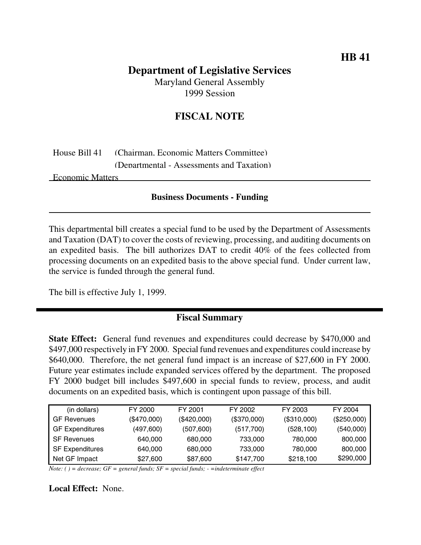# **Department of Legislative Services**

Maryland General Assembly 1999 Session

### **FISCAL NOTE**

| House Bill 41 (Chairman, Economic Matters Committee) |  |  |
|------------------------------------------------------|--|--|
| (Departmental - Assessments and Taxation)            |  |  |

Economic Matters

#### **Business Documents - Funding**

This departmental bill creates a special fund to be used by the Department of Assessments and Taxation (DAT) to cover the costs of reviewing, processing, and auditing documents on an expedited basis. The bill authorizes DAT to credit 40% of the fees collected from processing documents on an expedited basis to the above special fund. Under current law, the service is funded through the general fund.

The bill is effective July 1, 1999.

### **Fiscal Summary**

**State Effect:** General fund revenues and expenditures could decrease by \$470,000 and \$497,000 respectively in FY 2000. Special fund revenues and expenditures could increase by \$640,000. Therefore, the net general fund impact is an increase of \$27,600 in FY 2000. Future year estimates include expanded services offered by the department. The proposed FY 2000 budget bill includes \$497,600 in special funds to review, process, and audit documents on an expedited basis, which is contingent upon passage of this bill.

| (in dollars)           | FY 2000     | FY 2001     | FY 2002     | FY 2003     | FY 2004     |
|------------------------|-------------|-------------|-------------|-------------|-------------|
| <b>GF Revenues</b>     | (\$470,000) | (\$420,000) | (\$370,000) | (\$310,000) | (\$250,000) |
| <b>GF Expenditures</b> | (497,600)   | (507,600)   | (517,700)   | (528, 100)  | (540,000)   |
| <b>SF Revenues</b>     | 640.000     | 680,000     | 733,000     | 780,000     | 800,000     |
| <b>SF Expenditures</b> | 640,000     | 680,000     | 733,000     | 780,000     | 800,000     |
| Net GF Impact          | \$27,600    | \$87,600    | \$147,700   | \$218,100   | \$290,000   |

*Note: ( ) = decrease; GF = general funds; SF = special funds; - =indeterminate effect*

**Local Effect:** None.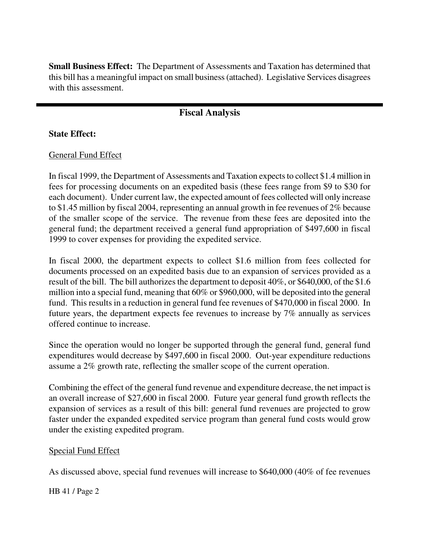**Small Business Effect:** The Department of Assessments and Taxation has determined that this bill has a meaningful impact on small business(attached). Legislative Services disagrees with this assessment.

## **Fiscal Analysis**

### **State Effect:**

### General Fund Effect

In fiscal 1999, the Department of Assessments and Taxation expects to collect \$1.4 million in fees for processing documents on an expedited basis (these fees range from \$9 to \$30 for each document). Under current law, the expected amount of fees collected will only increase to \$1.45 million by fiscal 2004, representing an annual growth in fee revenues of 2% because of the smaller scope of the service. The revenue from these fees are deposited into the general fund; the department received a general fund appropriation of \$497,600 in fiscal 1999 to cover expenses for providing the expedited service.

In fiscal 2000, the department expects to collect \$1.6 million from fees collected for documents processed on an expedited basis due to an expansion of services provided as a result of the bill. The bill authorizes the department to deposit  $40\%$ , or \$640,000, of the \$1.6 million into a special fund, meaning that 60% or \$960,000, will be deposited into the general fund. This results in a reduction in general fund fee revenues of \$470,000 in fiscal 2000. In future years, the department expects fee revenues to increase by 7% annually as services offered continue to increase.

Since the operation would no longer be supported through the general fund, general fund expenditures would decrease by \$497,600 in fiscal 2000. Out-year expenditure reductions assume a 2% growth rate, reflecting the smaller scope of the current operation.

Combining the effect of the general fund revenue and expenditure decrease, the net impact is an overall increase of \$27,600 in fiscal 2000. Future year general fund growth reflects the expansion of services as a result of this bill: general fund revenues are projected to grow faster under the expanded expedited service program than general fund costs would grow under the existing expedited program.

### Special Fund Effect

As discussed above, special fund revenues will increase to \$640,000 (40% of fee revenues

HB 41 / Page 2